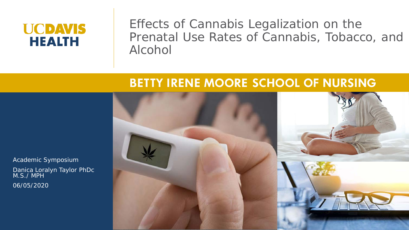# **UCDAVIS HEALTH**

Effects of Cannabis Legalization on the Prenatal Use Rates of Cannabis, Tobacco, and Alcohol

### **BETTY IRENE MOORE SCHOOL OF NURSING**



Academic Symposium Danica Loralyn Taylor PhDc M.S./ MPH 06/05/2020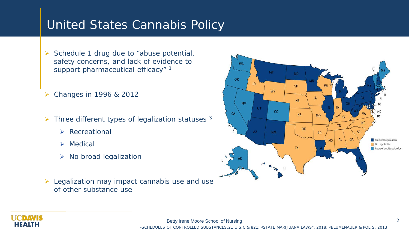## United States Cannabis Policy

- $\triangleright$  Schedule 1 drug due to "abuse potential, safety concerns, and lack of evidence to support pharmaceutical efficacy"<sup>1</sup>
- Changes in 1996 & 2012
- $\triangleright$  Three different types of legalization statuses 3
	- **▶ Recreational**
	- $\triangleright$  Medical
	- $\triangleright$  No broad legalization
- $\triangleright$  Legalization may impact cannabis use and use of other substance use





1SCHEDULES OF CONTROLLED SUBSTANCES, 21 U.S.C & 821; <sup>2</sup>STATE MARIJUANA LAWS", 2018; <sup>3</sup>BLUMENAUER & POLIS, 2013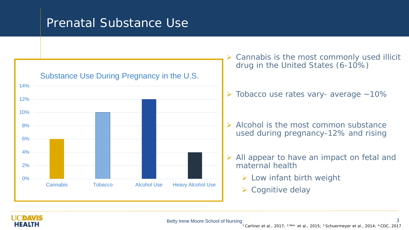## Prenatal Substance Use



 $\triangleright$  Cannabis is the most commonly used illicit drug in the United States (6-10%)

 $\triangleright$  Tobacco use rates vary- average ~10%

 $\triangleright$  Alcohol is the most common substance used during pregnancy-12% and rising

 All appear to have an impact on fetal and maternal health

- $\triangleright$  Low infant birth weight
- $\triangleright$  Cognitive delay

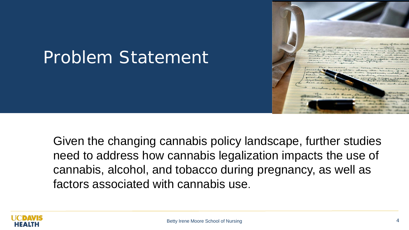# Problem Statement



Given the changing cannabis policy landscape, further studies need to address how cannabis legalization impacts the use of cannabis, alcohol, and tobacco during pregnancy, as well as factors associated with cannabis use.

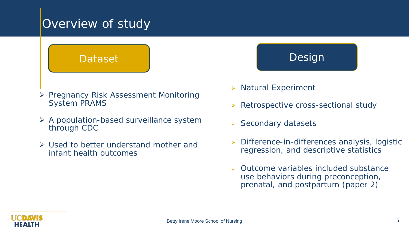## Overview of study

### Dataset

- ▶ Pregnancy Risk Assessment Monitoring System PRAMS
- A population-based surveillance system through CDC
- Used to better understand mother and infant health outcomes

# Design

- $\triangleright$  Natural Experiment
- ▶ Retrospective cross-sectional study
- $\triangleright$  Secondary datasets
- Difference-in-differences analysis, logistic regression, and descriptive statistics
- Outcome variables included substance use behaviors during preconception, prenatal, and postpartum (paper 2)

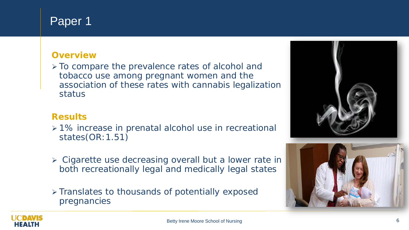### Paper 1

### **Overview**

 To compare the prevalence rates of alcohol and tobacco use among pregnant women and the association of these rates with cannabis legalization status

### **Results**

- 1% increase in prenatal alcohol use in recreational states(OR:1.51)
- Cigarette use decreasing overall but a lower rate in both recreationally legal and medically legal states
- Translates to thousands of potentially exposed pregnancies





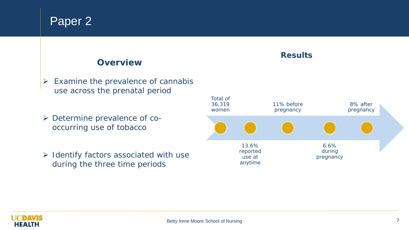### Paper 2

### **Overview**

- $\triangleright$  Examine the prevalence of cannabis use across the prenatal period
- Determine prevalence of cooccurring use of tobacco
- $\triangleright$  Identify factors associated with use during the three time periods

### **Results**



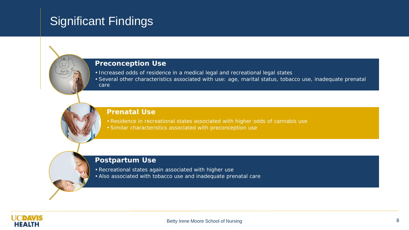# Significant Findings

#### **Preconception Use**

- Increased odds of residence in a medical legal and recreational legal states
- Several other characteristics associated with use: age, marital status, tobacco use, inadequate prenatal care

#### **Prenatal Use**

- Residence in recreational states associated with higher odds of cannabis use
- Similar characteristics associated with preconception use

#### **Postpartum Use**

- Recreational states again associated with higher use
- Also associated with tobacco use and inadequate prenatal care

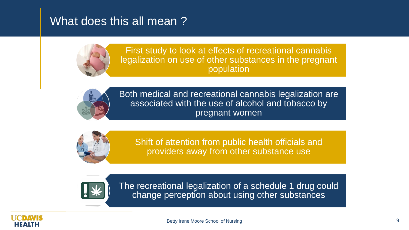### What does this all mean ?



First study to look at effects of recreational cannabis legalization on use of other substances in the pregnant population



Both medical and recreational cannabis legalization are associated with the use of alcohol and tobacco by pregnant women



Shift of attention from public health officials and providers away from other substance use



The recreational legalization of a schedule 1 drug could change perception about using other substances

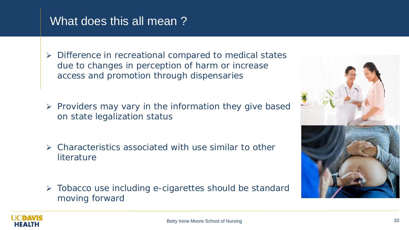### What does this all mean ?

- **▶ Difference in recreational compared to medical states** due to changes in perception of harm or increase access and promotion through dispensaries
- $\triangleright$  Providers may vary in the information they give based on state legalization status
- Characteristics associated with use similar to other literature
- > Tobacco use including e-cigarettes should be standard moving forward



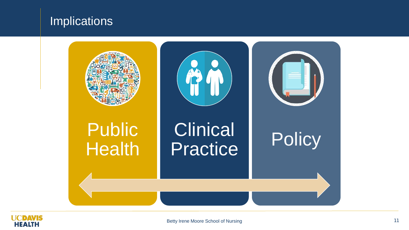### **Implications**